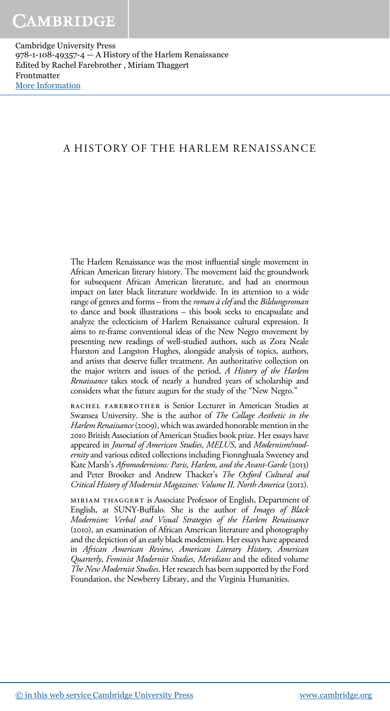#### A HISTORY OF THE HARLEM RENAISSANCE

The Harlem Renaissance was the most influential single movement in African American literary history. The movement laid the groundwork for subsequent African American literature, and had an enormous impact on later black literature worldwide. In its attention to a wide range of genres and forms - from the roman à clef and the Bildungsroman to dance and book illustrations – this book seeks to encapsulate and analyze the eclecticism of Harlem Renaissance cultural expression. It aims to re-frame conventional ideas of the New Negro movement by presenting new readings of well-studied authors, such as Zora Neale Hurston and Langston Hughes, alongside analysis of topics, authors, and artists that deserve fuller treatment. An authoritative collection on the major writers and issues of the period, A History of the Harlem Renaissance takes stock of nearly a hundred years of scholarship and considers what the future augurs for the study of the "New Negro."

rachel farebrother is Senior Lecturer in American Studies at Swansea University. She is the author of The Collage Aesthetic in the Harlem Renaissance (2009), which was awarded honorable mention in the 2010 British Association of American Studies book prize. Her essays have appeared in Journal of American Studies, MELUS, and Modernism/modernity and various edited collections including Fionnghuala Sweeney and Kate Marsh's Afromodernisms: Paris, Harlem, and the Avant-Garde (2013) and Peter Brooker and Andrew Thacker's The Oxford Cultural and Critical History of Modernist Magazines: Volume II, North America (2012).

miriam thaggert is Associate Professor of English, Department of English, at SUNY-Buffalo. She is the author of Images of Black Modernism: Verbal and Visual Strategies of the Harlem Renaissance (2010), an examination of African American literature and photography and the depiction of an early black modernism. Her essays have appeared in African American Review, American Literary History, American Quarterly, Feminist Modernist Studies, Meridians and the edited volume The New Modernist Studies. Her research has been supported by the Ford Foundation, the Newberry Library, and the Virginia Humanities.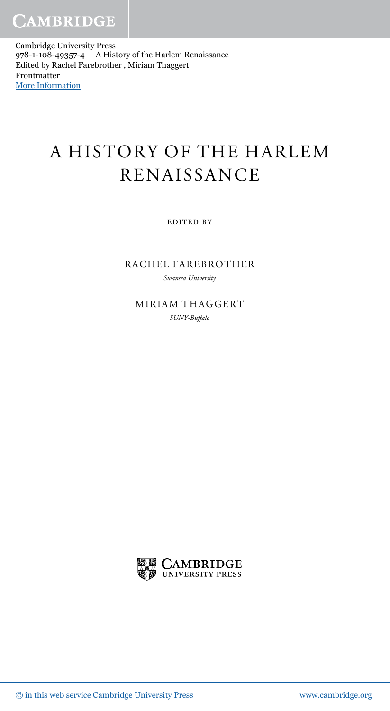# A HISTORY OF THE HARLEM RENAISSANCE

edited by

RACHEL FAREBROTHER

Swansea University

MIRIAM THAGGERT SUNY-Buffalo

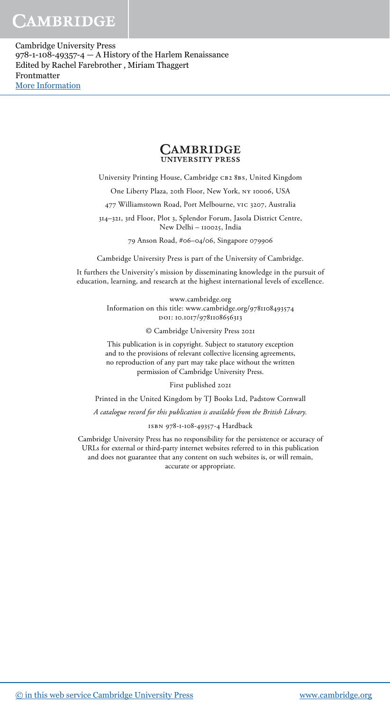## CAMBRIDGE

Cambridge University Press 978-1-108-49357-4 — A History of the Harlem Renaissance Edited by Rachel Farebrother , Miriam Thaggert Frontmatter [More Information](www.cambridge.org/9781108493574)



University Printing House, Cambridge CB2 8BS, United Kingdom

One Liberty Plaza, 20th Floor, New York, ny 10006, USA

477 Williamstown Road, Port Melbourne, vic 3207, Australia

314–321, 3rd Floor, Plot 3, Splendor Forum, Jasola District Centre, New Delhi – 110025, India

79 Anson Road, #06–04/06, Singapore 079906

Cambridge University Press is part of the University of Cambridge.

It furthers the University's mission by disseminating knowledge in the pursuit of education, learning, and research at the highest international levels of excellence.

> www.cambridge.org Information on this title: www.cambridge.org/9781108493574 DOI: 10.1017/9781108656313

> > © Cambridge University Press 2021

This publication is in copyright. Subject to statutory exception and to the provisions of relevant collective licensing agreements, no reproduction of any part may take place without the written permission of Cambridge University Press.

First published 2021

Printed in the United Kingdom by TJ Books Ltd, Padstow Cornwall

A catalogue record for this publication is available from the British Library.

isbn 978-1-108-49357-4 Hardback

Cambridge University Press has no responsibility for the persistence or accuracy of URLs for external or third-party internet websites referred to in this publication and does not guarantee that any content on such websites is, or will remain, accurate or appropriate.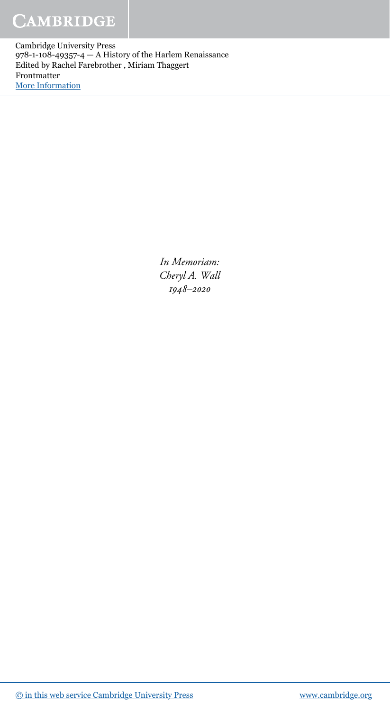# **CAMBRIDGE**

Cambridge University Press 978-1-108-49357-4 — A History of the Harlem Renaissance Edited by Rachel Farebrother , Miriam Thaggert Frontmatter [More Information](www.cambridge.org/9781108493574)

> In Memoriam: Cheryl A. Wall 1948–2020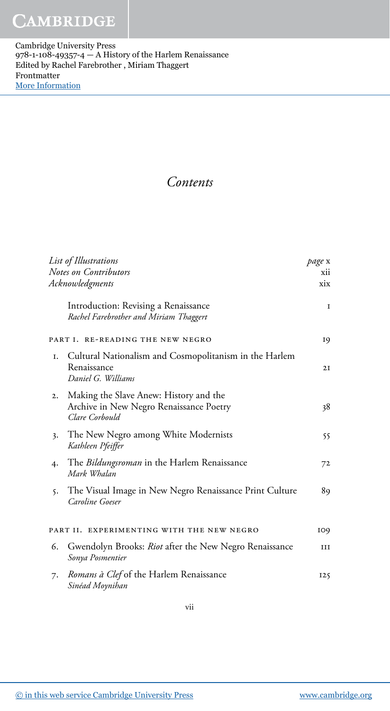#### Contents

| List of Illustrations<br><b>Notes on Contributors</b><br>Acknowledgments |                                                                                                     | page x<br>xii<br>xix |
|--------------------------------------------------------------------------|-----------------------------------------------------------------------------------------------------|----------------------|
|                                                                          | Introduction: Revising a Renaissance<br>Rachel Farebrother and Miriam Thaggert                      | 1                    |
| PART I.<br><b>RE-READING THE NEW NEGRO</b>                               |                                                                                                     | 19                   |
| I.                                                                       | Cultural Nationalism and Cosmopolitanism in the Harlem<br>Renaissance<br>Daniel G. Williams         | 2I                   |
| 2.                                                                       | Making the Slave Anew: History and the<br>Archive in New Negro Renaissance Poetry<br>Clare Corbould | 38                   |
| 3.                                                                       | The New Negro among White Modernists<br>Kathleen Pfeiffer                                           | 55                   |
| 4.                                                                       | The <i>Bildungsroman</i> in the Harlem Renaissance<br>Mark Whalan                                   | 72                   |
| 5.                                                                       | The Visual Image in New Negro Renaissance Print Culture<br>Caroline Goeser                          | 89                   |
|                                                                          | PART II. EXPERIMENTING WITH THE NEW NEGRO                                                           | 109                  |
| 6.                                                                       | Gwendolyn Brooks: Riot after the New Negro Renaissance<br>Sonya Posmentier                          | ш                    |
| 7.                                                                       | Romans à Clef of the Harlem Renaissance<br>Sinéad Moynihan                                          | 125                  |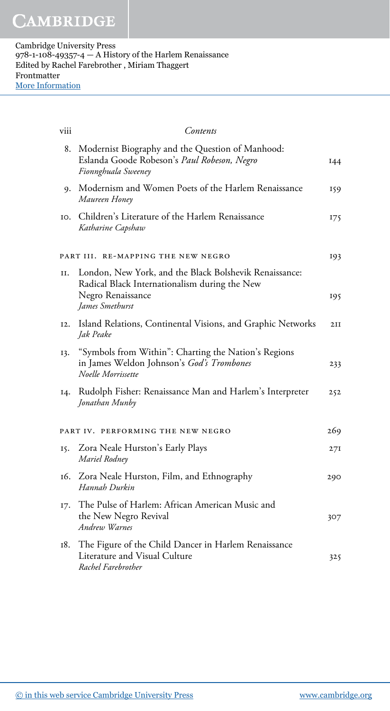| viii                                      | Contents                                                                                                                     |     |
|-------------------------------------------|------------------------------------------------------------------------------------------------------------------------------|-----|
| 8.                                        | Modernist Biography and the Question of Manhood:<br>Eslanda Goode Robeson's Paul Robeson, Negro<br>Fionnghuala Sweeney       | I44 |
| 9.                                        | Modernism and Women Poets of the Harlem Renaissance<br>Maureen Honey                                                         | 159 |
| IO.                                       | Children's Literature of the Harlem Renaissance<br>Katharine Capshaw                                                         | 175 |
| PART III. RE-MAPPING THE NEW NEGRO<br>193 |                                                                                                                              |     |
| II.                                       | London, New York, and the Black Bolshevik Renaissance:<br>Radical Black Internationalism during the New<br>Negro Renaissance | 195 |
|                                           | James Smethurst                                                                                                              |     |
| I2.                                       | Island Relations, Continental Visions, and Graphic Networks<br>Jak Peake                                                     | 2II |
| 13.                                       | "Symbols from Within": Charting the Nation's Regions<br>in James Weldon Johnson's God's Trombones<br>Noelle Morrissette      | 233 |
| 14.                                       | Rudolph Fisher: Renaissance Man and Harlem's Interpreter<br>Jonathan Munby                                                   | 252 |
|                                           | PART IV. PERFORMING THE NEW NEGRO                                                                                            | 269 |
| 15.                                       | Zora Neale Hurston's Early Plays<br>Mariel Rodney                                                                            | 27I |
| 16.                                       | Zora Neale Hurston, Film, and Ethnography<br>Hannah Durkin                                                                   | 290 |
| I7.                                       | The Pulse of Harlem: African American Music and<br>the New Negro Revival<br>Andrew Warnes                                    | 307 |
| 18.                                       | The Figure of the Child Dancer in Harlem Renaissance<br>Literature and Visual Culture<br>Rachel Farebrother                  | 325 |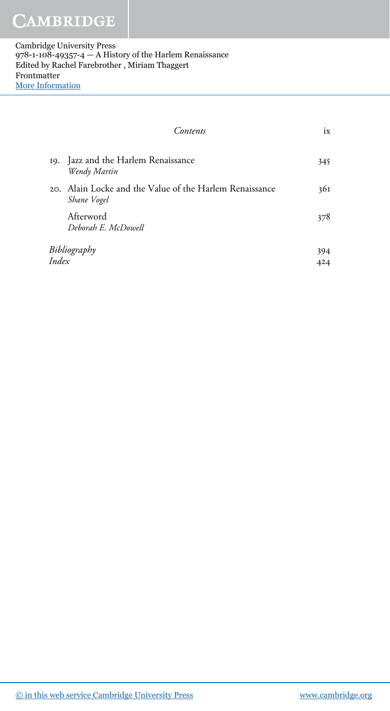| Contents                                                               | ix  |
|------------------------------------------------------------------------|-----|
| 19. Jazz and the Harlem Renaissance<br>Wendy Martin                    | 345 |
| 20. Alain Locke and the Value of the Harlem Renaissance<br>Shane Vogel | 361 |
| Afterword<br>Deborah E. McDowell                                       | 378 |
| Bibliography                                                           |     |
| Index                                                                  |     |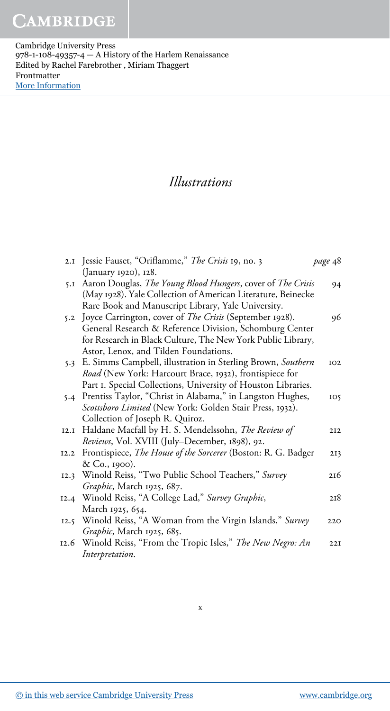### Illustrations

|      | 2.1 Jessie Fauset, "Oriflamme," The Crisis 19, no. 3                 | page 48         |
|------|----------------------------------------------------------------------|-----------------|
|      | (January 1920), 128.                                                 |                 |
| 5.1  | Aaron Douglas, The Young Blood Hungers, cover of The Crisis          | 94              |
|      | (May 1928). Yale Collection of American Literature, Beinecke         |                 |
|      | Rare Book and Manuscript Library, Yale University.                   |                 |
| 5.2  | Joyce Carrington, cover of <i>The Crisis</i> (September 1928).       | 96              |
|      | General Research & Reference Division, Schomburg Center              |                 |
|      | for Research in Black Culture, The New York Public Library,          |                 |
|      | Astor, Lenox, and Tilden Foundations.                                |                 |
| 5.3  | E. Simms Campbell, illustration in Sterling Brown, Southern          | IO2             |
|      | Road (New York: Harcourt Brace, 1932), frontispiece for              |                 |
|      | Part I. Special Collections, University of Houston Libraries.        |                 |
| 5.4  | Prentiss Taylor, "Christ in Alabama," in Langston Hughes,            | IO5             |
|      | Scottsboro Limited (New York: Golden Stair Press, 1932).             |                 |
|      | Collection of Joseph R. Quiroz.                                      |                 |
| 12.I | Haldane Macfall by H. S. Mendelssohn, The Review of                  | 2I2             |
|      | Reviews, Vol. XVIII (July-December, 1898), 92.                       |                 |
|      | 12.2 Frontispiece, The House of the Sorcerer (Boston: R. G. Badger   | 2I <sub>3</sub> |
|      | & Co., 1900).                                                        |                 |
|      | 12.3 Winold Reiss, "Two Public School Teachers," Survey              | 216             |
|      | Graphic, March 1925, 687.                                            |                 |
|      | 12.4 Winold Reiss, "A College Lad," Survey Graphic,                  | 218             |
|      | March 1925, 654.                                                     |                 |
|      | 12.5 Winold Reiss, "A Woman from the Virgin Islands," Survey         | 220             |
|      | Graphic, March 1925, 685.                                            |                 |
|      | 12.6 Winold Reiss, "From the Tropic Isles," <i>The New Negro: An</i> | 22I             |
|      | Interpretation.                                                      |                 |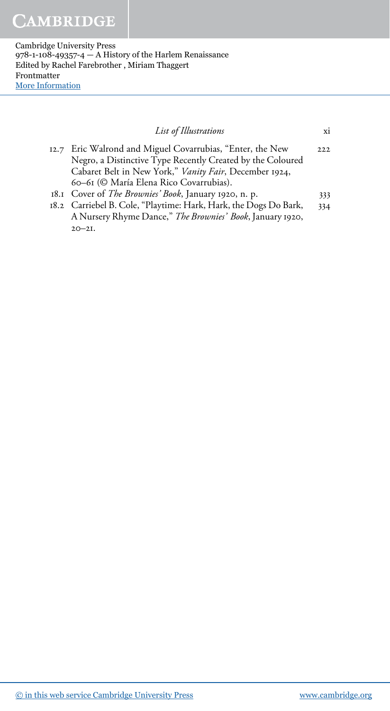| List of Illustrations                                                                                                   | xi     |
|-------------------------------------------------------------------------------------------------------------------------|--------|
| 12.7 Eric Walrond and Miguel Covarrubias, "Enter, the New<br>Negro, a Distinctive Type Recently Created by the Coloured | 2.2.2. |
| Cabaret Belt in New York," Vanity Fair, December 1924,<br>60-61 (© María Elena Rico Covarrubias).                       |        |
| 18.1 Cover of The Brownies' Book, January 1920, n. p.                                                                   | 333    |
| 18.2 Carriebel B. Cole, "Playtime: Hark, Hark, the Dogs Do Bark,                                                        | 334    |
| A Nursery Rhyme Dance," The Brownies' Book, January 1920,                                                               |        |
| $20 - 21$ .                                                                                                             |        |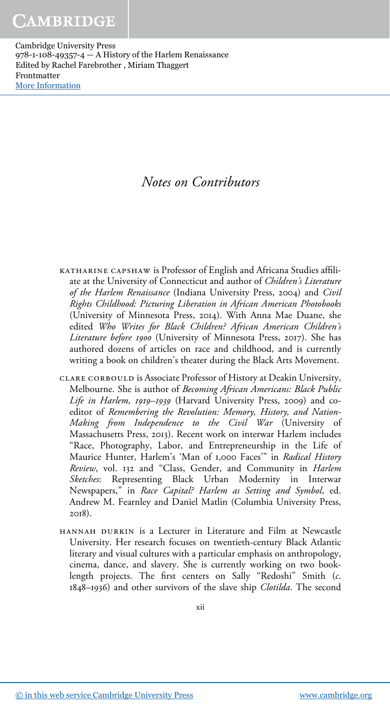### Notes on Contributors

- katharine capshaw is Professor of English and Africana Studies affiliate at the University of Connecticut and author of Children's Literature of the Harlem Renaissance (Indiana University Press, 2004) and Civil Rights Childhood: Picturing Liberation in African American Photobooks (University of Minnesota Press, 2014). With Anna Mae Duane, she edited Who Writes for Black Children? African American Children's Literature before 1900 (University of Minnesota Press, 2017). She has authored dozens of articles on race and childhood, and is currently writing a book on children's theater during the Black Arts Movement.
- clare corbould is Associate Professor of History at Deakin University, Melbourne. She is author of Becoming African Americans: Black Public Life in Harlem, 1919–1939 (Harvard University Press, 2009) and coeditor of Remembering the Revolution: Memory, History, and Nation-Making from Independence to the Civil War (University of Massachusetts Press, 2013). Recent work on interwar Harlem includes "Race, Photography, Labor, and Entrepreneurship in the Life of Maurice Hunter, Harlem's 'Man of 1,000 Faces'" in Radical History Review, vol. 132 and "Class, Gender, and Community in Harlem Sketches: Representing Black Urban Modernity in Interwar Newspapers," in Race Capital? Harlem as Setting and Symbol, ed. Andrew M. Fearnley and Daniel Matlin (Columbia University Press, 2018).
- hannah durkin is a Lecturer in Literature and Film at Newcastle University. Her research focuses on twentieth-century Black Atlantic literary and visual cultures with a particular emphasis on anthropology, cinema, dance, and slavery. She is currently working on two booklength projects. The first centers on Sally "Redoshi" Smith (c. 1848–1936) and other survivors of the slave ship Clotilda. The second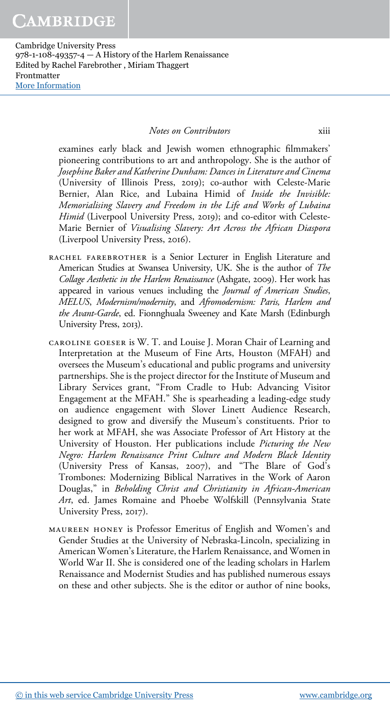#### Notes on Contributors xiii

examines early black and Jewish women ethnographic filmmakers' pioneering contributions to art and anthropology. She is the author of Josephine Baker and Katherine Dunham: Dances in Literature and Cinema (University of Illinois Press, 2019); co-author with Celeste-Marie Bernier, Alan Rice, and Lubaina Himid of Inside the Invisible: Memorialising Slavery and Freedom in the Life and Works of Lubaina Himid (Liverpool University Press, 2019); and co-editor with Celeste-Marie Bernier of Visualising Slavery: Art Across the African Diaspora (Liverpool University Press, 2016).

- rachel farebrother is a Senior Lecturer in English Literature and American Studies at Swansea University, UK. She is the author of The Collage Aesthetic in the Harlem Renaissance (Ashgate, 2009). Her work has appeared in various venues including the Journal of American Studies, MELUS, Modernism/modernity, and Afromodernism: Paris, Harlem and the Avant-Garde, ed. Fionnghuala Sweeney and Kate Marsh (Edinburgh University Press, 2013).
- caroline goeser is W. T. and Louise J. Moran Chair of Learning and Interpretation at the Museum of Fine Arts, Houston (MFAH) and oversees the Museum's educational and public programs and university partnerships. She is the project director for the Institute of Museum and Library Services grant, "From Cradle to Hub: Advancing Visitor Engagement at the MFAH." She is spearheading a leading-edge study on audience engagement with Slover Linett Audience Research, designed to grow and diversify the Museum's constituents. Prior to her work at MFAH, she was Associate Professor of Art History at the University of Houston. Her publications include Picturing the New Negro: Harlem Renaissance Print Culture and Modern Black Identity (University Press of Kansas, 2007), and "The Blare of God's Trombones: Modernizing Biblical Narratives in the Work of Aaron Douglas," in Beholding Christ and Christianity in African-American Art, ed. James Romaine and Phoebe Wolfskill (Pennsylvania State University Press, 2017).
- maureen honey is Professor Emeritus of English and Women's and Gender Studies at the University of Nebraska-Lincoln, specializing in American Women's Literature, the Harlem Renaissance, and Women in World War II. She is considered one of the leading scholars in Harlem Renaissance and Modernist Studies and has published numerous essays on these and other subjects. She is the editor or author of nine books,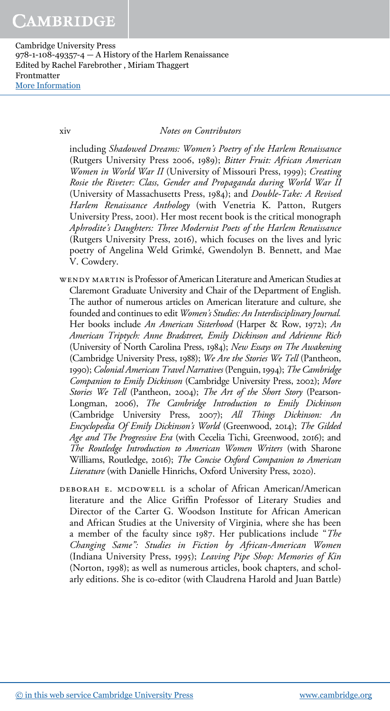xiv Notes on Contributors

including Shadowed Dreams: Women's Poetry of the Harlem Renaissance (Rutgers University Press 2006, 1989); Bitter Fruit: African American Women in World War II (University of Missouri Press, 1999); Creating Rosie the Riveter: Class, Gender and Propaganda during World War II (University of Massachusetts Press, 1984); and Double-Take: A Revised Harlem Renaissance Anthology (with Venetria K. Patton, Rutgers University Press, 2001). Her most recent book is the critical monograph Aphrodite's Daughters: Three Modernist Poets of the Harlem Renaissance (Rutgers University Press, 2016), which focuses on the lives and lyric poetry of Angelina Weld Grimké, Gwendolyn B. Bennett, and Mae V. Cowdery.

- WENDY MARTIN is Professor of American Literature and American Studies at Claremont Graduate University and Chair of the Department of English. The author of numerous articles on American literature and culture, she founded and continues to edit Women's Studies: An Interdisciplinary Journal. Her books include An American Sisterhood (Harper & Row, 1972); An American Triptych: Anne Bradstreet, Emily Dickinson and Adrienne Rich (University of North Carolina Press, 1984); New Essays on The Awakening (Cambridge University Press, 1988); We Are the Stories We Tell (Pantheon, 1990); Colonial American Travel Narratives (Penguin, 1994); The Cambridge Companion to Emily Dickinson (Cambridge University Press, 2002); More Stories We Tell (Pantheon, 2004); The Art of the Short Story (Pearson-Longman, 2006), The Cambridge Introduction to Emily Dickinson (Cambridge University Press, 2007); All Things Dickinson: An Encyclopedia Of Emily Dickinson's World (Greenwood, 2014); The Gilded Age and The Progressive Era (with Cecelia Tichi, Greenwood, 2016); and The Routledge Introduction to American Women Writers (with Sharone Williams, Routledge, 2016); The Concise Oxford Companion to American Literature (with Danielle Hinrichs, Oxford University Press, 2020).
- DEBORAH E. MCDOWELL is a scholar of African American/American literature and the Alice Griffin Professor of Literary Studies and Director of the Carter G. Woodson Institute for African American and African Studies at the University of Virginia, where she has been a member of the faculty since 1987. Her publications include "The Changing Same": Studies in Fiction by African-American Women (Indiana University Press, 1995); Leaving Pipe Shop: Memories of Kin (Norton, 1998); as well as numerous articles, book chapters, and scholarly editions. She is co-editor (with Claudrena Harold and Juan Battle)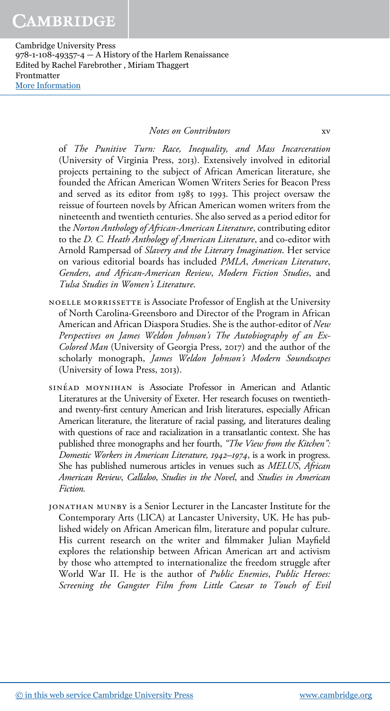#### Notes on Contributors xv

of The Punitive Turn: Race, Inequality, and Mass Incarceration (University of Virginia Press, 2013). Extensively involved in editorial projects pertaining to the subject of African American literature, she founded the African American Women Writers Series for Beacon Press and served as its editor from 1985 to 1993. This project oversaw the reissue of fourteen novels by African American women writers from the nineteenth and twentieth centuries. She also served as a period editor for the Norton Anthology of African-American Literature, contributing editor to the D. C. Heath Anthology of American Literature, and co-editor with Arnold Rampersad of Slavery and the Literary Imagination. Her service on various editorial boards has included PMLA, American Literature, Genders, and African-American Review, Modern Fiction Studies, and Tulsa Studies in Women's Literature.

- noelle morrissette is Associate Professor of English at the University of North Carolina-Greensboro and Director of the Program in African American and African Diaspora Studies. She is the author-editor of New Perspectives on James Weldon Johnson's The Autobiography of an Ex-Colored Man (University of Georgia Press, 2017) and the author of the scholarly monograph, James Weldon Johnson's Modern Soundscapes (University of Iowa Press, 2013).
- SINÉAD MOYNIHAN is Associate Professor in American and Atlantic Literatures at the University of Exeter. Her research focuses on twentiethand twenty-first century American and Irish literatures, especially African American literature, the literature of racial passing, and literatures dealing with questions of race and racialization in a transatlantic context. She has published three monographs and her fourth, "The View from the Kitchen": Domestic Workers in American Literature, 1942–1974, is a work in progress. She has published numerous articles in venues such as MELUS, African American Review, Callaloo, Studies in the Novel, and Studies in American Fiction.
- JONATHAN MUNBY is a Senior Lecturer in the Lancaster Institute for the Contemporary Arts (LICA) at Lancaster University, UK. He has published widely on African American film, literature and popular culture. His current research on the writer and filmmaker Julian Mayfield explores the relationship between African American art and activism by those who attempted to internationalize the freedom struggle after World War II. He is the author of Public Enemies, Public Heroes: Screening the Gangster Film from Little Caesar to Touch of Evil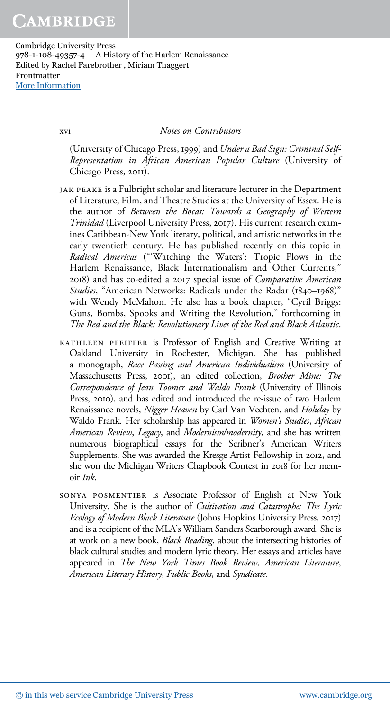xvi Notes on Contributors

(University of Chicago Press, 1999) and Under a Bad Sign: Criminal Self-Representation in African American Popular Culture (University of Chicago Press, 2011).

- jak peake is a Fulbright scholar and literature lecturer in the Department of Literature, Film, and Theatre Studies at the University of Essex. He is the author of Between the Bocas: Towards a Geography of Western Trinidad (Liverpool University Press, 2017). His current research examines Caribbean-New York literary, political, and artistic networks in the early twentieth century. He has published recently on this topic in Radical Americas ("'Watching the Waters': Tropic Flows in the Harlem Renaissance, Black Internationalism and Other Currents," 2018) and has co-edited a 2017 special issue of Comparative American Studies, "American Networks: Radicals under the Radar (1840–1968)" with Wendy McMahon. He also has a book chapter, "Cyril Briggs: Guns, Bombs, Spooks and Writing the Revolution," forthcoming in The Red and the Black: Revolutionary Lives of the Red and Black Atlantic.
- kathleen pfeiffer is Professor of English and Creative Writing at Oakland University in Rochester, Michigan. She has published a monograph, Race Passing and American Individualism (University of Massachusetts Press, 2001), an edited collection, Brother Mine: The Correspondence of Jean Toomer and Waldo Frank (University of Illinois Press, 2010), and has edited and introduced the re-issue of two Harlem Renaissance novels, Nigger Heaven by Carl Van Vechten, and Holiday by Waldo Frank. Her scholarship has appeared in Women's Studies, African American Review, Legacy, and Modernism/modernity, and she has written numerous biographical essays for the Scribner's American Writers Supplements. She was awarded the Kresge Artist Fellowship in 2012, and she won the Michigan Writers Chapbook Contest in 2018 for her memoir Ink.
- sonya posmentier is Associate Professor of English at New York University. She is the author of Cultivation and Catastrophe: The Lyric Ecology of Modern Black Literature (Johns Hopkins University Press, 2017) and is a recipient of the MLA's William Sanders Scarborough award. She is at work on a new book, *Black Reading*, about the intersecting histories of black cultural studies and modern lyric theory. Her essays and articles have appeared in The New York Times Book Review, American Literature, American Literary History, Public Books, and Syndicate.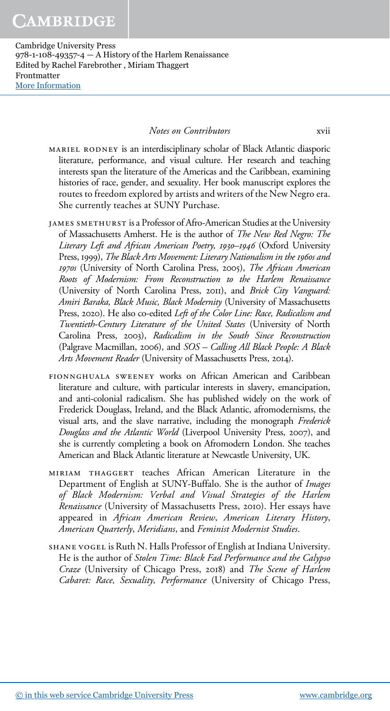Notes on Contributors xvii

mariel rodney is an interdisciplinary scholar of Black Atlantic diasporic literature, performance, and visual culture. Her research and teaching interests span the literature of the Americas and the Caribbean, examining histories of race, gender, and sexuality. Her book manuscript explores the routes to freedom explored by artists and writers of the New Negro era. She currently teaches at SUNY Purchase.

- JAMES SMETHURST is a Professor of Afro-American Studies at the University of Massachusetts Amherst. He is the author of The New Red Negro: The Literary Left and African American Poetry, 1930–1946 (Oxford University Press, 1999), The Black Arts Movement: Literary Nationalism in the 1960s and 1970s (University of North Carolina Press, 2005), The African American Roots of Modernism: From Reconstruction to the Harlem Renaissance (University of North Carolina Press, 2011), and Brick City Vanguard: Amiri Baraka, Black Music, Black Modernity (University of Massachusetts Press, 2020). He also co-edited Left of the Color Line: Race, Radicalism and Twentieth-Century Literature of the United States (University of North Carolina Press, 2003), Radicalism in the South Since Reconstruction (Palgrave Macmillan, 2006), and SOS – Calling All Black People: A Black Arts Movement Reader (University of Massachusetts Press, 2014).
- fionnghuala sweeney works on African American and Caribbean literature and culture, with particular interests in slavery, emancipation, and anti-colonial radicalism. She has published widely on the work of Frederick Douglass, Ireland, and the Black Atlantic, afromodernisms, the visual arts, and the slave narrative, including the monograph Frederick Douglass and the Atlantic World (Liverpool University Press, 2007), and she is currently completing a book on Afromodern London. She teaches American and Black Atlantic literature at Newcastle University, UK.
- miriam thaggert teaches African American Literature in the Department of English at SUNY-Buffalo. She is the author of Images of Black Modernism: Verbal and Visual Strategies of the Harlem Renaissance (University of Massachusetts Press, 2010). Her essays have appeared in African American Review, American Literary History, American Quarterly, Meridians, and Feminist Modernist Studies.
- shane vogel is Ruth N. Halls Professor of English at Indiana University. He is the author of Stolen Time: Black Fad Performance and the Calypso Craze (University of Chicago Press, 2018) and The Scene of Harlem Cabaret: Race, Sexuality, Performance (University of Chicago Press,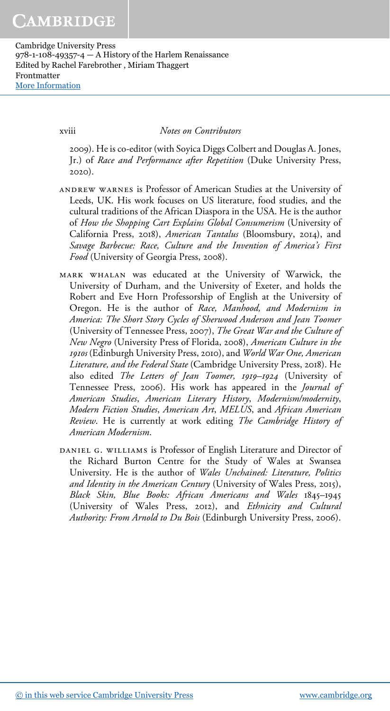xviii Notes on Contributors

2009). He is co-editor (with Soyica Diggs Colbert and Douglas A. Jones, Jr.) of Race and Performance after Repetition (Duke University Press, 2020).

- andrew warnes is Professor of American Studies at the University of Leeds, UK. His work focuses on US literature, food studies, and the cultural traditions of the African Diaspora in the USA. He is the author of How the Shopping Cart Explains Global Consumerism (University of California Press, 2018), American Tantalus (Bloomsbury, 2014), and Savage Barbecue: Race, Culture and the Invention of America's First Food (University of Georgia Press, 2008).
- mark whalan was educated at the University of Warwick, the University of Durham, and the University of Exeter, and holds the Robert and Eve Horn Professorship of English at the University of Oregon. He is the author of Race, Manhood, and Modernism in America: The Short Story Cycles of Sherwood Anderson and Jean Toomer (University of Tennessee Press, 2007), The Great War and the Culture of New Negro (University Press of Florida, 2008), American Culture in the 1910s (Edinburgh University Press, 2010), and World War One, American Literature, and the Federal State (Cambridge University Press, 2018). He also edited The Letters of Jean Toomer, 1919–1924 (University of Tennessee Press, 2006). His work has appeared in the Journal of American Studies, American Literary History, Modernism/modernity, Modern Fiction Studies, American Art, MELUS, and African American Review. He is currently at work editing The Cambridge History of American Modernism.
- DANIEL G. WILLIAMS is Professor of English Literature and Director of the Richard Burton Centre for the Study of Wales at Swansea University. He is the author of Wales Unchained: Literature, Politics and Identity in the American Century (University of Wales Press, 2015), Black Skin, Blue Books: African Americans and Wales 1845–1945 (University of Wales Press, 2012), and Ethnicity and Cultural Authority: From Arnold to Du Bois (Edinburgh University Press, 2006).